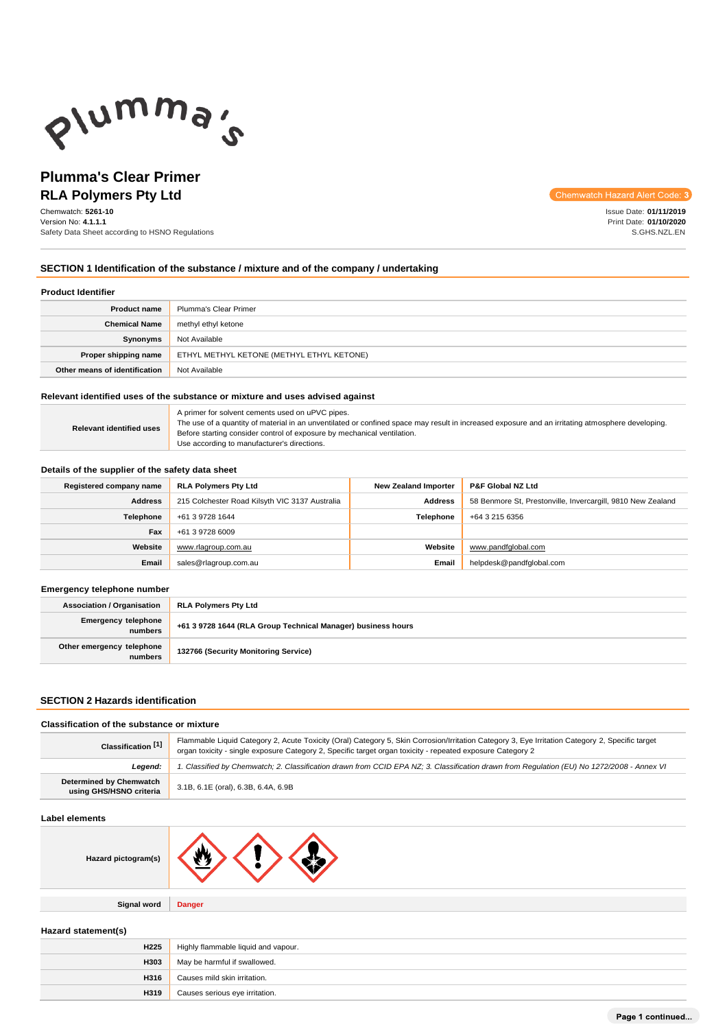

# **Plumma's Clear Primer RLA Polymers Pty Ltd**

Chemwatch: **5261-10** Version No: **4.1.1.1** Safety Data Sheet according to HSNO Regulations Chemwatch Hazard Alert Code: 3

Issue Date: **01/11/2019** Print Date: **01/10/2020** S.GHS.NZL.EN

# **SECTION 1 Identification of the substance / mixture and of the company / undertaking**

#### **Product Identifier**

| <b>Product name</b>           | Plumma's Clear Primer                     |  |
|-------------------------------|-------------------------------------------|--|
| <b>Chemical Name</b>          | methyl ethyl ketone                       |  |
| Synonyms                      | Not Available                             |  |
| Proper shipping name          | ETHYL METHYL KETONE (METHYL ETHYL KETONE) |  |
| Other means of identification | Not Available                             |  |

## **Relevant identified uses of the substance or mixture and uses advised against**

|                                 | A primer for solvent cements used on uPVC pipes.                                                                                                 |
|---------------------------------|--------------------------------------------------------------------------------------------------------------------------------------------------|
| <b>Relevant identified uses</b> | The use of a quantity of material in an unventilated or confined space may result in increased exposure and an irritating atmosphere developing. |
|                                 | Before starting consider control of exposure by mechanical ventilation.                                                                          |
|                                 | Use according to manufacturer's directions.                                                                                                      |

#### **Details of the supplier of the safety data sheet**

| Registered company name | <b>RLA Polymers Pty Ltd</b>                    | <b>New Zealand Importer</b> | <b>P&amp;F Global NZ Ltd</b>                                |
|-------------------------|------------------------------------------------|-----------------------------|-------------------------------------------------------------|
| <b>Address</b>          | 215 Colchester Road Kilsyth VIC 3137 Australia | <b>Address</b>              | 58 Benmore St, Prestonville, Invercargill, 9810 New Zealand |
| Telephone               | +61 3 9728 1644                                | <b>Telephone</b>            | +64 3 215 6356                                              |
| Fax                     | +61 3 9728 6009                                |                             |                                                             |
| Website                 | www.rlagroup.com.au                            | Website                     | www.pandfglobal.com                                         |
| Email                   | sales@rlagroup.com.au                          |                             | helpdesk@pandfqlobal.com                                    |

#### **Emergency telephone number**

| <b>Association / Organisation</b>    | RLA Polymers Pty Ltd                                         |  |
|--------------------------------------|--------------------------------------------------------------|--|
| Emergency telephone<br>numbers       | +61 3 9728 1644 (RLA Group Technical Manager) business hours |  |
| Other emergency telephone<br>numbers | 132766 (Security Monitoring Service)                         |  |

# **SECTION 2 Hazards identification**

#### **Classification of the substance or mixture**

| Classification [1]                                 | Flammable Liquid Category 2, Acute Toxicity (Oral) Category 5, Skin Corrosion/Irritation Category 3, Eye Irritation Category 2, Specific target<br>organ toxicity - single exposure Category 2, Specific target organ toxicity - repeated exposure Category 2 |  |
|----------------------------------------------------|---------------------------------------------------------------------------------------------------------------------------------------------------------------------------------------------------------------------------------------------------------------|--|
| Leaend:                                            | 1. Classified by Chemwatch; 2. Classification drawn from CCID EPA NZ; 3. Classification drawn from Requlation (EU) No 1272/2008 - Annex VI                                                                                                                    |  |
| Determined by Chemwatch<br>using GHS/HSNO criteria | 3.1B, 6.1E (oral), 6.3B, 6.4A, 6.9B                                                                                                                                                                                                                           |  |

#### **Label elements**

|--|

**Signal word Danger**

## **Hazard statement(s)**

| <b>H225</b> | Highly flammable liquid and vapour. |  |
|-------------|-------------------------------------|--|
| <b>H303</b> | May be harmful if swallowed.        |  |
| H316        | Causes mild skin irritation.        |  |
| H319        | Causes serious eye irritation.      |  |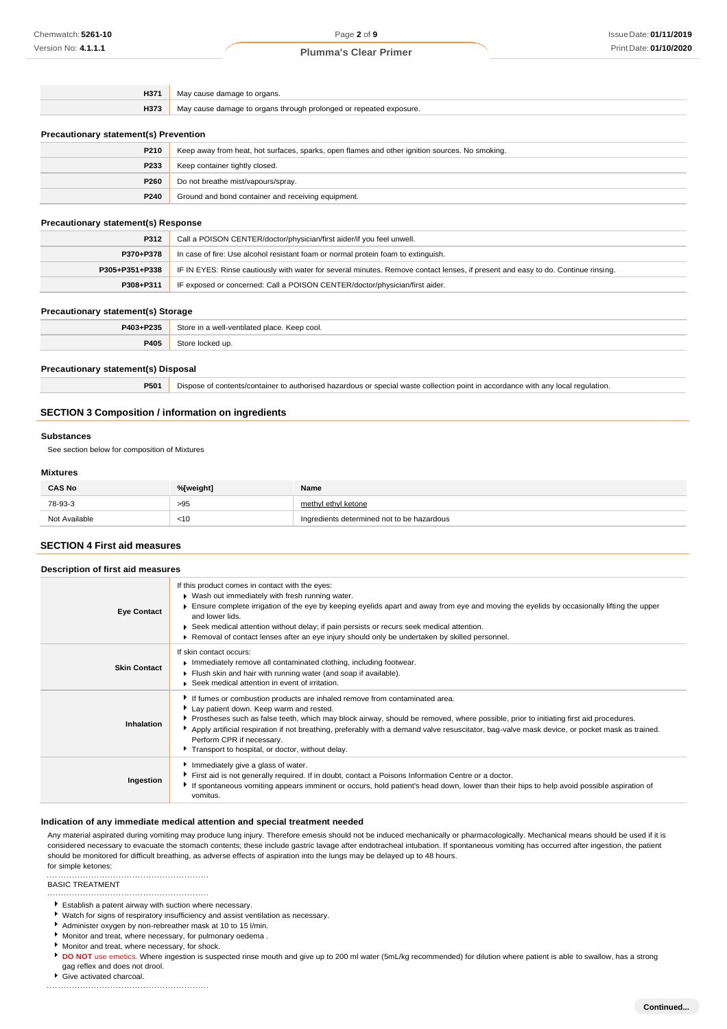| H371 | May cause damage to organs.                                        |  |
|------|--------------------------------------------------------------------|--|
| H373 | May cause damage to organs through prolonged or repeated exposure. |  |

#### **Precautionary statement(s) Prevention**

| <b>P210</b> | Keep away from heat, hot surfaces, sparks, open flames and other ignition sources. No smoking. |  |
|-------------|------------------------------------------------------------------------------------------------|--|
| P233        | Keep container tightly closed.                                                                 |  |
| P260        | Do not breathe mist/vapours/spray.                                                             |  |
| P240        | Ground and bond container and receiving equipment.                                             |  |

#### **Precautionary statement(s) Response**

| P312           | Call a POISON CENTER/doctor/physician/first aider/if you feel unwell.                                                            |  |
|----------------|----------------------------------------------------------------------------------------------------------------------------------|--|
| P370+P378      | In case of fire: Use alcohol resistant foam or normal protein foam to extinguish.                                                |  |
| P305+P351+P338 | IF IN EYES: Rinse cautiously with water for several minutes. Remove contact lenses, if present and easy to do. Continue rinsing. |  |
| P308+P311      | IF exposed or concerned: Call a POISON CENTER/doctor/physician/first aider.                                                      |  |

#### **Precautionary statement(s) Storage**

| P403+P235 | Store in a well-ventilated place. Keep cool. |
|-----------|----------------------------------------------|
| P405      | Stor<br>locked up.                           |

#### **Precautionary statement(s) Disposal**

**P501** Dispose of contents/container to authorised hazardous or special waste collection point in accordance with any local regulation.

## **SECTION 3 Composition / information on ingredients**

#### **Substances**

See section below for composition of Mixtures

## **Mixtures**

| <b>CAS No</b> | %[weight] | Name                                       |
|---------------|-----------|--------------------------------------------|
| 78-93-3       | >95       | methyl ethyl ketone                        |
| Not Available | < 10      | Ingredients determined not to be hazardous |

## **SECTION 4 First aid measures**

| Description of first aid measures |                                                                                                                                                                                                                                                                                                                                                                                                                                                                                                 |  |  |  |
|-----------------------------------|-------------------------------------------------------------------------------------------------------------------------------------------------------------------------------------------------------------------------------------------------------------------------------------------------------------------------------------------------------------------------------------------------------------------------------------------------------------------------------------------------|--|--|--|
| <b>Eye Contact</b>                | If this product comes in contact with the eyes:<br>▶ Wash out immediately with fresh running water.<br>Ensure complete irrigation of the eye by keeping eyelids apart and away from eye and moving the eyelids by occasionally lifting the upper<br>and lower lids.<br>► Seek medical attention without delay; if pain persists or recurs seek medical attention.<br>▶ Removal of contact lenses after an eye injury should only be undertaken by skilled personnel.                            |  |  |  |
| <b>Skin Contact</b>               | If skin contact occurs:<br>Immediately remove all contaminated clothing, including footwear.<br>Flush skin and hair with running water (and soap if available).<br>▶ Seek medical attention in event of irritation.                                                                                                                                                                                                                                                                             |  |  |  |
| Inhalation                        | If fumes or combustion products are inhaled remove from contaminated area.<br>Lay patient down. Keep warm and rested.<br>Prostheses such as false teeth, which may block airway, should be removed, where possible, prior to initiating first aid procedures.<br>Apply artificial respiration if not breathing, preferably with a demand valve resuscitator, bag-valve mask device, or pocket mask as trained.<br>Perform CPR if necessary.<br>Transport to hospital, or doctor, without delay. |  |  |  |
| Ingestion                         | Immediately give a glass of water.<br>First aid is not generally required. If in doubt, contact a Poisons Information Centre or a doctor.<br>If spontaneous vomiting appears imminent or occurs, hold patient's head down, lower than their hips to help avoid possible aspiration of<br>vomitus.                                                                                                                                                                                               |  |  |  |

## **Indication of any immediate medical attention and special treatment needed**

Any material aspirated during vomiting may produce lung injury. Therefore emesis should not be induced mechanically or pharmacologically. Mechanical means should be used if it is considered necessary to evacuate the stomach contents; these include gastric lavage after endotracheal intubation. If spontaneous vomiting has occurred after ingestion, the patient should be monitored for difficult breathing, as adverse effects of aspiration into the lungs may be delayed up to 48 hours. for simple ketones:

#### 

BASIC TREATMENT

- Establish a patent airway with suction where necessary.
- Watch for signs of respiratory insufficiency and assist ventilation as necessary.
- Administer oxygen by non-rebreather mask at 10 to 15 l/min.
- Monitor and treat, where necessary, for pulmonary oedema .
- Monitor and treat, where necessary, for shock.
- **DO NOT** use emetics. Where ingestion is suspected rinse mouth and give up to 200 ml water (5mL/kg recommended) for dilution where patient is able to swallow, has a strong gag reflex and does not drool.
- Give activated charcoal.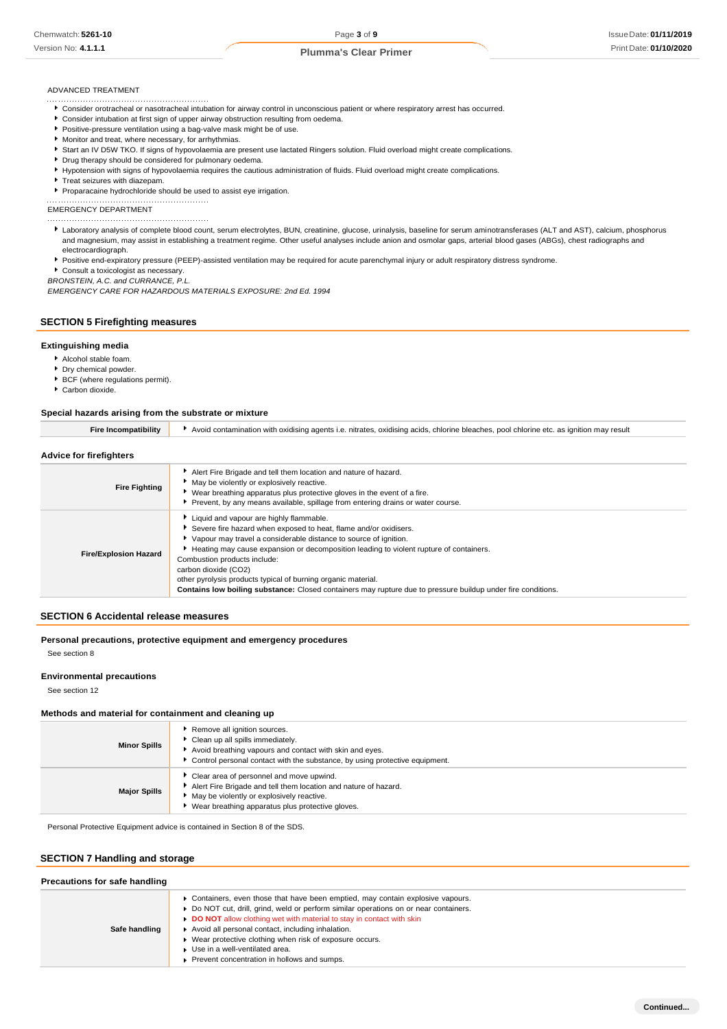## ADVANCED TREATMENT

- Consider orotracheal or nasotracheal intubation for airway control in unconscious patient or where respiratory arrest has occurred.
- Consider intubation at first sign of upper airway obstruction resulting from oedema.
- **Positive-pressure ventilation using a bag-valve mask might be of use.**
- Monitor and treat, where necessary, for arrhythmias.
- Start an IV D5W TKO. If signs of hypovolaemia are present use lactated Ringers solution. Fluid overload might create complications.
- **P** Drug therapy should be considered for pulmonary oedema.
- Hypotension with signs of hypovolaemia requires the cautious administration of fluids. Fluid overload might create complications.
- Treat seizures with diazepam.
- Proparacaine hydrochloride should be used to assist eye irrigation.

EMERGENCY DEPARTMENT

- Laboratory analysis of complete blood count, serum electrolytes, BUN, creatinine, glucose, urinalysis, baseline for serum aminotransferases (ALT and AST), calcium, phosphorus and magnesium, may assist in establishing a treatment regime. Other useful analyses include anion and osmolar gaps, arterial blood gases (ABGs), chest radiographs and electrocardiograph.
- Positive end-expiratory pressure (PEEP)-assisted ventilation may be required for acute parenchymal injury or adult respiratory distress syndrome.
- Consult a toxicologist as necessary.

*BRONSTEIN, A.C. and CURRANCE, P.L.*

*EMERGENCY CARE FOR HAZARDOUS MATERIALS EXPOSURE: 2nd Ed. 1994*

#### **SECTION 5 Firefighting measures**

#### **Extinguishing media**

- Alcohol stable foam.
- **P** Dry chemical powder.
- **BCF** (where regulations permit).
- Carbon dioxide.

#### **Special hazards arising from the substrate or mixture**

| <b>Fire Incompatibility</b>  | Avoid contamination with oxidising agents i.e. nitrates, oxidising acids, chlorine bleaches, pool chlorine etc. as ignition may result                                                                                                                                                                                                                                                                                                                                                                             |
|------------------------------|--------------------------------------------------------------------------------------------------------------------------------------------------------------------------------------------------------------------------------------------------------------------------------------------------------------------------------------------------------------------------------------------------------------------------------------------------------------------------------------------------------------------|
| Advice for firefighters      |                                                                                                                                                                                                                                                                                                                                                                                                                                                                                                                    |
| <b>Fire Fighting</b>         | Alert Fire Brigade and tell them location and nature of hazard.<br>May be violently or explosively reactive.<br>• Wear breathing apparatus plus protective gloves in the event of a fire.<br>Prevent, by any means available, spillage from entering drains or water course.                                                                                                                                                                                                                                       |
| <b>Fire/Explosion Hazard</b> | Liquid and vapour are highly flammable.<br>Severe fire hazard when exposed to heat, flame and/or oxidisers.<br>Vapour may travel a considerable distance to source of ignition.<br>Heating may cause expansion or decomposition leading to violent rupture of containers.<br>Combustion products include:<br>carbon dioxide (CO2)<br>other pyrolysis products typical of burning organic material.<br>Contains low boiling substance: Closed containers may rupture due to pressure buildup under fire conditions. |

#### **SECTION 6 Accidental release measures**

**Personal precautions, protective equipment and emergency procedures** See section 8

#### **Environmental precautions**

See section 12

#### **Methods and material for containment and cleaning up**

| <b>Minor Spills</b> | Remove all ignition sources.<br>Clean up all spills immediately.<br>Avoid breathing vapours and contact with skin and eyes.<br>▶ Control personal contact with the substance, by using protective equipment.   |
|---------------------|----------------------------------------------------------------------------------------------------------------------------------------------------------------------------------------------------------------|
| <b>Major Spills</b> | Clear area of personnel and move upwind.<br>Alert Fire Brigade and tell them location and nature of hazard.<br>• May be violently or explosively reactive.<br>Wear breathing apparatus plus protective gloves. |

Personal Protective Equipment advice is contained in Section 8 of the SDS.

# **SECTION 7 Handling and storage**

| Precautions for safe handling |                                                                                                                                                                                                                                                                                                                                                                                                                                                    |  |  |
|-------------------------------|----------------------------------------------------------------------------------------------------------------------------------------------------------------------------------------------------------------------------------------------------------------------------------------------------------------------------------------------------------------------------------------------------------------------------------------------------|--|--|
| Safe handling                 | ▶ Containers, even those that have been emptied, may contain explosive vapours.<br>▶ Do NOT cut, drill, grind, weld or perform similar operations on or near containers.<br>DO NOT allow clothing wet with material to stay in contact with skin<br>Avoid all personal contact, including inhalation.<br>• Wear protective clothing when risk of exposure occurs.<br>Use in a well-ventilated area.<br>Prevent concentration in hollows and sumps. |  |  |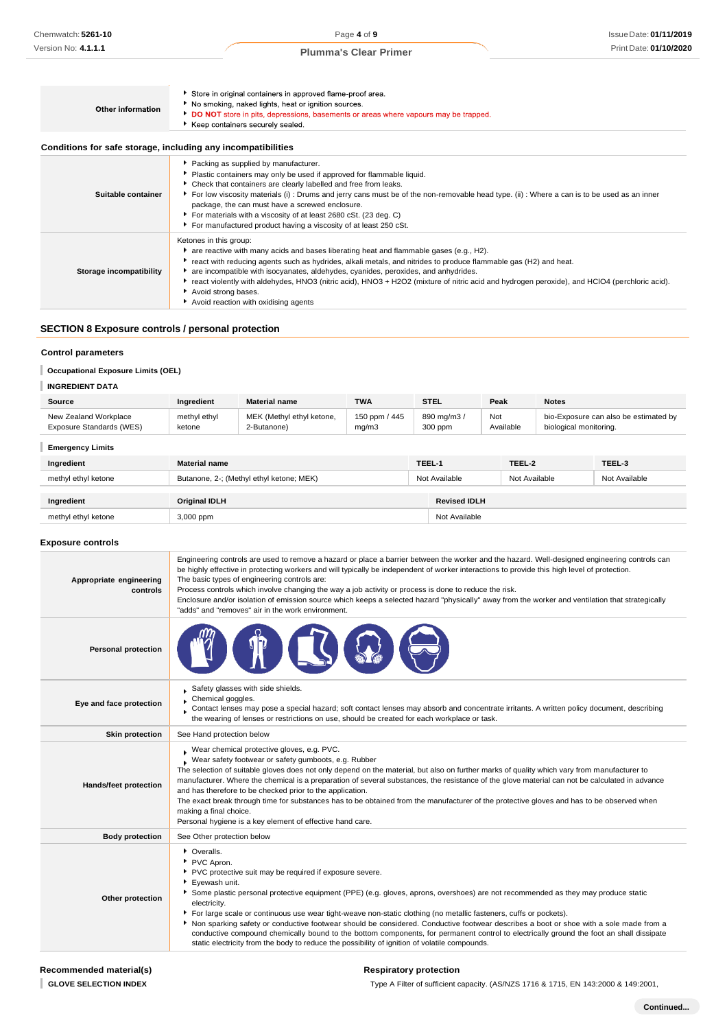| Other information                                            | Store in original containers in approved flame-proof area.<br>No smoking, naked lights, heat or ignition sources.<br>DO NOT store in pits, depressions, basements or areas where vapours may be trapped.<br>Keep containers securely sealed.                                                                                                                                                                                                                                                                                                  |
|--------------------------------------------------------------|-----------------------------------------------------------------------------------------------------------------------------------------------------------------------------------------------------------------------------------------------------------------------------------------------------------------------------------------------------------------------------------------------------------------------------------------------------------------------------------------------------------------------------------------------|
| Conditions for safe storage, including any incompatibilities |                                                                                                                                                                                                                                                                                                                                                                                                                                                                                                                                               |
| Suitable container                                           | Packing as supplied by manufacturer.<br>Plastic containers may only be used if approved for flammable liquid.<br>• Check that containers are clearly labelled and free from leaks.<br>For low viscosity materials (i): Drums and jerry cans must be of the non-removable head type. (ii): Where a can is to be used as an inner<br>package, the can must have a screwed enclosure.<br>• For materials with a viscosity of at least 2680 cSt. (23 deg. C)<br>For manufactured product having a viscosity of at least 250 cSt.                  |
| Storage incompatibility                                      | Ketones in this group:<br>are reactive with many acids and bases liberating heat and flammable gases (e.g., H2).<br>▶ react with reducing agents such as hydrides, alkali metals, and nitrides to produce flammable gas (H2) and heat.<br>are incompatible with isocyanates, aldehydes, cyanides, peroxides, and anhydrides.<br>► react violently with aldehydes, HNO3 (nitric acid), HNO3 + H2O2 (mixture of nitric acid and hydrogen peroxide), and HClO4 (perchloric acid).<br>Avoid strong bases.<br>Avoid reaction with oxidising agents |

# **SECTION 8 Exposure controls / personal protection**

## **Control parameters**

**Occupational Exposure Limits (OEL)** 

# **INGREDIENT DATA**

| <b>Source</b>            | Ingredient   | <b>Material name</b>      | <b>TWA</b>    | STEL      | Peak      | <b>Notes</b>                          |
|--------------------------|--------------|---------------------------|---------------|-----------|-----------|---------------------------------------|
| New Zealand Workplace    | methyl ethyl | MEK (Methyl ethyl ketone, | 150 ppm / 445 | 890 mg/m3 | Not       | bio-Exposure can also be estimated by |
| Exposure Standards (WES) | ketone       | 2-Butanone)               | mq/m3         | 300 ppm   | Available | biological monitoring.                |

| <b>Emergency Limits</b> |                                          |        |                     |               |               |  |
|-------------------------|------------------------------------------|--------|---------------------|---------------|---------------|--|
| Ingredient              | <b>Material name</b>                     | TEEL-1 |                     | TEEL-2        | TEEL-3        |  |
| methyl ethyl ketone     | Butanone, 2-; (Methyl ethyl ketone; MEK) |        | Not Available       | Not Available | Not Available |  |
| Ingredient              | <b>Original IDLH</b>                     |        | <b>Revised IDLH</b> |               |               |  |
| methyl ethyl ketone     | 3,000 ppm                                |        | Not Available       |               |               |  |

## **Exposure controls**

| Appropriate engineering<br>controls | Engineering controls are used to remove a hazard or place a barrier between the worker and the hazard. Well-designed engineering controls can<br>be highly effective in protecting workers and will typically be independent of worker interactions to provide this high level of protection.<br>The basic types of engineering controls are:<br>Process controls which involve changing the way a job activity or process is done to reduce the risk.<br>Enclosure and/or isolation of emission source which keeps a selected hazard "physically" away from the worker and ventilation that strategically<br>"adds" and "removes" air in the work environment.                                                                                                     |
|-------------------------------------|---------------------------------------------------------------------------------------------------------------------------------------------------------------------------------------------------------------------------------------------------------------------------------------------------------------------------------------------------------------------------------------------------------------------------------------------------------------------------------------------------------------------------------------------------------------------------------------------------------------------------------------------------------------------------------------------------------------------------------------------------------------------|
| <b>Personal protection</b>          |                                                                                                                                                                                                                                                                                                                                                                                                                                                                                                                                                                                                                                                                                                                                                                     |
| Eye and face protection             | Safety glasses with side shields.<br>Chemical goggles.<br>Contact lenses may pose a special hazard; soft contact lenses may absorb and concentrate irritants. A written policy document, describing<br>the wearing of lenses or restrictions on use, should be created for each workplace or task.                                                                                                                                                                                                                                                                                                                                                                                                                                                                  |
| <b>Skin protection</b>              | See Hand protection below                                                                                                                                                                                                                                                                                                                                                                                                                                                                                                                                                                                                                                                                                                                                           |
| Hands/feet protection               | Wear chemical protective gloves, e.g. PVC.<br>Wear safety footwear or safety gumboots, e.g. Rubber<br>The selection of suitable gloves does not only depend on the material, but also on further marks of quality which vary from manufacturer to<br>manufacturer. Where the chemical is a preparation of several substances, the resistance of the glove material can not be calculated in advance<br>and has therefore to be checked prior to the application.<br>The exact break through time for substances has to be obtained from the manufacturer of the protective gloves and has to be observed when<br>making a final choice.<br>Personal hygiene is a key element of effective hand care.                                                                |
| <b>Body protection</b>              | See Other protection below                                                                                                                                                                                                                                                                                                                                                                                                                                                                                                                                                                                                                                                                                                                                          |
| Other protection                    | • Overalls.<br>PVC Apron.<br>PVC protective suit may be required if exposure severe.<br>Evewash unit.<br>Some plastic personal protective equipment (PPE) (e.g. gloves, aprons, overshoes) are not recommended as they may produce static<br>electricity.<br>For large scale or continuous use wear tight-weave non-static clothing (no metallic fasteners, cuffs or pockets).<br>Non sparking safety or conductive footwear should be considered. Conductive footwear describes a boot or shoe with a sole made from a<br>conductive compound chemically bound to the bottom components, for permanent control to electrically ground the foot an shall dissipate<br>static electricity from the body to reduce the possibility of ignition of volatile compounds. |

## **Respiratory protection**

Type A Filter of sufficient capacity. (AS/NZS 1716 & 1715, EN 143:2000 & 149:2001,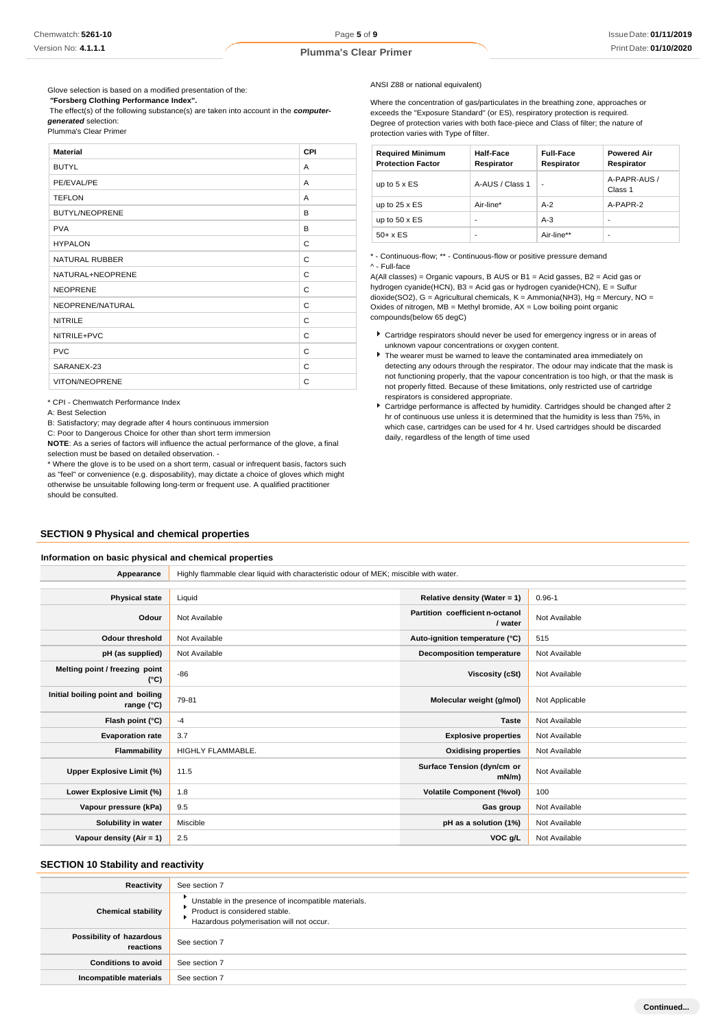Glove selection is based on a modified presentation of the: *"***Forsberg Clothing Performance Index".**

The effect(s) of the following substance(s) are taken into account in the *computergenerated* selection:

Plumma's Clear Primer

| <b>Material</b>       | CPI |
|-----------------------|-----|
| <b>BUTYL</b>          | A   |
| PE/EVAL/PE            | A   |
| <b>TEFLON</b>         | A   |
| <b>BUTYL/NEOPRENE</b> | B   |
| <b>PVA</b>            | B   |
| <b>HYPALON</b>        | C   |
| NATURAL RUBBER        | C   |
| NATURAL+NEOPRENE      | C   |
| <b>NEOPRENE</b>       | C   |
| NEOPRENE/NATURAL      | C   |
| <b>NITRILE</b>        | C   |
| NITRILE+PVC           | C   |
| <b>PVC</b>            | C   |
| SARANEX-23            | C   |
| VITON/NEOPRENE        | C   |

\* CPI - Chemwatch Performance Index

A: Best Selection

B: Satisfactory; may degrade after 4 hours continuous immersion

C: Poor to Dangerous Choice for other than short term immersion

**NOTE**: As a series of factors will influence the actual performance of the glove, a final selection must be based on detailed observation. -

\* Where the glove is to be used on a short term, casual or infrequent basis, factors such as "feel" or convenience (e.g. disposability), may dictate a choice of gloves which might otherwise be unsuitable following long-term or frequent use. A qualified practitioner should be consulted.

# **SECTION 9 Physical and chemical properties**

#### **Information on basic physical and chemical properties**

**Appearance** Highly flammable clear liquid with characteristic odour of MEK; miscible with water.

| <b>Physical state</b>                                    | Liquid                   | Relative density (Water = 1)               | $0.96 - 1$     |
|----------------------------------------------------------|--------------------------|--------------------------------------------|----------------|
| Odour                                                    | Not Available            | Partition coefficient n-octanol<br>/ water | Not Available  |
| <b>Odour threshold</b>                                   | Not Available            | Auto-ignition temperature (°C)             | 515            |
| pH (as supplied)                                         | Not Available            | <b>Decomposition temperature</b>           | Not Available  |
| Melting point / freezing point<br>(°C)                   | $-86$                    | Viscosity (cSt)                            | Not Available  |
| Initial boiling point and boiling<br>range $(^{\circ}C)$ | 79-81                    | Molecular weight (g/mol)                   | Not Applicable |
| Flash point (°C)                                         | $-4$                     | <b>Taste</b>                               | Not Available  |
| <b>Evaporation rate</b>                                  | 3.7                      | <b>Explosive properties</b>                | Not Available  |
| Flammability                                             | <b>HIGHLY FLAMMABLE.</b> | <b>Oxidising properties</b>                | Not Available  |
| Upper Explosive Limit (%)                                | 11.5                     | Surface Tension (dyn/cm or<br>$mN/m$ )     | Not Available  |
| Lower Explosive Limit (%)                                | 1.8                      | <b>Volatile Component (%vol)</b>           | 100            |
| Vapour pressure (kPa)                                    | 9.5                      | Gas group                                  | Not Available  |
| Solubility in water                                      | Miscible                 | pH as a solution (1%)                      | Not Available  |
| Vapour density (Air = 1)                                 | 2.5                      | VOC g/L                                    | Not Available  |

## **SECTION 10 Stability and reactivity**

| Reactivity                            | See section 7                                                                                                                    |
|---------------------------------------|----------------------------------------------------------------------------------------------------------------------------------|
| <b>Chemical stability</b>             | Unstable in the presence of incompatible materials.<br>Product is considered stable.<br>Hazardous polymerisation will not occur. |
| Possibility of hazardous<br>reactions | See section 7                                                                                                                    |
| <b>Conditions to avoid</b>            | See section 7                                                                                                                    |
| Incompatible materials                | See section 7                                                                                                                    |

ANSI Z88 or national equivalent)

Where the concentration of gas/particulates in the breathing zone, approaches or exceeds the "Exposure Standard" (or ES), respiratory protection is required. Degree of protection varies with both face-piece and Class of filter; the nature of protection varies with Type of filter.

| <b>Required Minimum</b><br><b>Protection Factor</b> | Half-Face<br>Respirator | <b>Full-Face</b><br>Respirator | <b>Powered Air</b><br>Respirator |
|-----------------------------------------------------|-------------------------|--------------------------------|----------------------------------|
| up to $5 \times ES$                                 | A-AUS / Class 1         | ٠                              | A-PAPR-AUS /<br>Class 1          |
| up to $25 \times ES$                                | Air-line*               | $A-2$                          | A-PAPR-2                         |
| up to $50 \times ES$                                | -                       | $A-3$                          | ۰                                |
| $50+ x ES$                                          | -                       | Air-line**                     | -                                |

\* - Continuous-flow; \*\* - Continuous-flow or positive pressure demand ^ - Full-face

A(All classes) = Organic vapours, B AUS or B1 = Acid gasses, B2 = Acid gas or hydrogen cyanide(HCN), B3 = Acid gas or hydrogen cyanide(HCN), E = Sulfur dioxide(SO2), G = Agricultural chemicals, K = Ammonia(NH3), Hg = Mercury, NO = Oxides of nitrogen, MB = Methyl bromide, AX = Low boiling point organic compounds(below 65 degC)

- Cartridge respirators should never be used for emergency ingress or in areas of unknown vapour concentrations or oxygen content.
- The wearer must be warned to leave the contaminated area immediately on detecting any odours through the respirator. The odour may indicate that the mask is not functioning properly, that the vapour concentration is too high, or that the mask is not properly fitted. Because of these limitations, only restricted use of cartridge respirators is considered appropriate.
- Cartridge performance is affected by humidity. Cartridges should be changed after 2 hr of continuous use unless it is determined that the humidity is less than 75%, in which case, cartridges can be used for 4 hr. Used cartridges should be discarded daily, regardless of the length of time used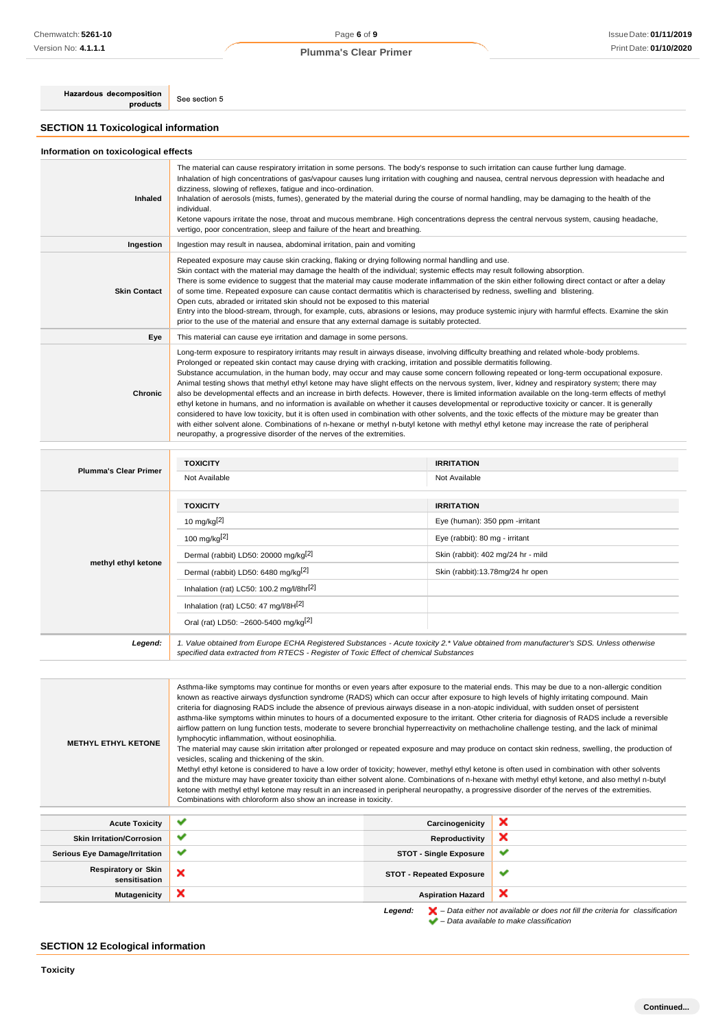# Page **6** of **9 Plumma's Clear Primer**

Hazardous decomposition products

See section 5

# **SECTION 11 Toxicological information**

# **Information on toxicological effects**

| Inhaled             | The material can cause respiratory irritation in some persons. The body's response to such irritation can cause further lung damage.<br>Inhalation of high concentrations of gas/vapour causes lung irritation with coughing and nausea, central nervous depression with headache and<br>dizziness, slowing of reflexes, fatigue and inco-ordination.<br>Inhalation of aerosols (mists, fumes), generated by the material during the course of normal handling, may be damaging to the health of the<br>individual.<br>Ketone vapours irritate the nose, throat and mucous membrane. High concentrations depress the central nervous system, causing headache,<br>vertigo, poor concentration, sleep and failure of the heart and breathing.                                                                                                                                                                                                                                                                                                                                                                                                                                                                                                |
|---------------------|---------------------------------------------------------------------------------------------------------------------------------------------------------------------------------------------------------------------------------------------------------------------------------------------------------------------------------------------------------------------------------------------------------------------------------------------------------------------------------------------------------------------------------------------------------------------------------------------------------------------------------------------------------------------------------------------------------------------------------------------------------------------------------------------------------------------------------------------------------------------------------------------------------------------------------------------------------------------------------------------------------------------------------------------------------------------------------------------------------------------------------------------------------------------------------------------------------------------------------------------|
| Ingestion           | Ingestion may result in nausea, abdominal irritation, pain and vomiting                                                                                                                                                                                                                                                                                                                                                                                                                                                                                                                                                                                                                                                                                                                                                                                                                                                                                                                                                                                                                                                                                                                                                                     |
| <b>Skin Contact</b> | Repeated exposure may cause skin cracking, flaking or drying following normal handling and use.<br>Skin contact with the material may damage the health of the individual; systemic effects may result following absorption.<br>There is some evidence to suggest that the material may cause moderate inflammation of the skin either following direct contact or after a delay<br>of some time. Repeated exposure can cause contact dermatitis which is characterised by redness, swelling and blistering.<br>Open cuts, abraded or irritated skin should not be exposed to this material<br>Entry into the blood-stream, through, for example, cuts, abrasions or lesions, may produce systemic injury with harmful effects. Examine the skin<br>prior to the use of the material and ensure that any external damage is suitably protected.                                                                                                                                                                                                                                                                                                                                                                                             |
| Eye                 | This material can cause eye irritation and damage in some persons.                                                                                                                                                                                                                                                                                                                                                                                                                                                                                                                                                                                                                                                                                                                                                                                                                                                                                                                                                                                                                                                                                                                                                                          |
| Chronic             | Long-term exposure to respiratory irritants may result in airways disease, involving difficulty breathing and related whole-body problems.<br>Prolonged or repeated skin contact may cause drying with cracking, irritation and possible dermatitis following.<br>Substance accumulation, in the human body, may occur and may cause some concern following repeated or long-term occupational exposure.<br>Animal testing shows that methyl ethyl ketone may have slight effects on the nervous system, liver, kidney and respiratory system; there may<br>also be developmental effects and an increase in birth defects. However, there is limited information available on the long-term effects of methyl<br>ethyl ketone in humans, and no information is available on whether it causes developmental or reproductive toxicity or cancer. It is generally<br>considered to have low toxicity, but it is often used in combination with other solvents, and the toxic effects of the mixture may be greater than<br>with either solvent alone. Combinations of n-hexane or methyl n-butyl ketone with methyl ethyl ketone may increase the rate of peripheral<br>neuropathy, a progressive disorder of the nerves of the extremities. |

| <b>Plumma's Clear Primer</b> | <b>TOXICITY</b>                                                                                                                                                                                                                 | <b>IRRITATION</b>                  |  |
|------------------------------|---------------------------------------------------------------------------------------------------------------------------------------------------------------------------------------------------------------------------------|------------------------------------|--|
|                              | Not Available                                                                                                                                                                                                                   | Not Available                      |  |
|                              |                                                                                                                                                                                                                                 |                                    |  |
|                              | <b>TOXICITY</b>                                                                                                                                                                                                                 | <b>IRRITATION</b>                  |  |
|                              | 10 mg/kg $[2]$                                                                                                                                                                                                                  | Eye (human): 350 ppm -irritant     |  |
|                              | 100 mg/kg <sup>[2]</sup>                                                                                                                                                                                                        | Eye (rabbit): 80 mg - irritant     |  |
|                              | Dermal (rabbit) LD50: 20000 mg/kg <sup>[2]</sup>                                                                                                                                                                                | Skin (rabbit): 402 mg/24 hr - mild |  |
| methyl ethyl ketone          | Dermal (rabbit) LD50: 6480 mg/kg[2]                                                                                                                                                                                             | Skin (rabbit):13.78mg/24 hr open   |  |
|                              | Inhalation (rat) LC50: 100.2 mg/l/8hr <sup>[2]</sup>                                                                                                                                                                            |                                    |  |
|                              | Inhalation (rat) LC50: 47 mg/l/8H[2]                                                                                                                                                                                            |                                    |  |
|                              | Oral (rat) LD50: ~2600-5400 mg/kg <sup>[2]</sup>                                                                                                                                                                                |                                    |  |
| Legend:                      | 1. Value obtained from Europe ECHA Registered Substances - Acute toxicity 2.* Value obtained from manufacturer's SDS. Unless otherwise<br>specified data extracted from RTECS - Register of Toxic Effect of chemical Substances |                                    |  |

| <b>METHYL ETHYL KETONE</b>                  | Asthma-like symptoms may continue for months or even years after exposure to the material ends. This may be due to a non-allergic condition<br>known as reactive airways dysfunction syndrome (RADS) which can occur after exposure to high levels of highly irritating compound. Main<br>criteria for diagnosing RADS include the absence of previous airways disease in a non-atopic individual, with sudden onset of persistent<br>asthma-like symptoms within minutes to hours of a documented exposure to the irritant. Other criteria for diagnosis of RADS include a reversible<br>airflow pattern on lung function tests, moderate to severe bronchial hyperreactivity on methacholine challenge testing, and the lack of minimal<br>lymphocytic inflammation, without eosinophilia.<br>The material may cause skin irritation after prolonged or repeated exposure and may produce on contact skin redness, swelling, the production of<br>vesicles, scaling and thickening of the skin.<br>Methyl ethyl ketone is considered to have a low order of toxicity; however, methyl ethyl ketone is often used in combination with other solvents<br>and the mixture may have greater toxicity than either solvent alone. Combinations of n-hexane with methyl ethyl ketone, and also methyl n-butyl<br>ketone with methyl ethyl ketone may result in an increased in peripheral neuropathy, a progressive disorder of the nerves of the extremities.<br>Combinations with chloroform also show an increase in toxicity. |                                 |   |  |  |
|---------------------------------------------|------------------------------------------------------------------------------------------------------------------------------------------------------------------------------------------------------------------------------------------------------------------------------------------------------------------------------------------------------------------------------------------------------------------------------------------------------------------------------------------------------------------------------------------------------------------------------------------------------------------------------------------------------------------------------------------------------------------------------------------------------------------------------------------------------------------------------------------------------------------------------------------------------------------------------------------------------------------------------------------------------------------------------------------------------------------------------------------------------------------------------------------------------------------------------------------------------------------------------------------------------------------------------------------------------------------------------------------------------------------------------------------------------------------------------------------------------------------------------------------------------------------------------|---------------------------------|---|--|--|
| <b>Acute Toxicity</b>                       | $\checkmark$                                                                                                                                                                                                                                                                                                                                                                                                                                                                                                                                                                                                                                                                                                                                                                                                                                                                                                                                                                                                                                                                                                                                                                                                                                                                                                                                                                                                                                                                                                                 | Carcinogenicity                 | × |  |  |
| <b>Skin Irritation/Corrosion</b>            | ✔                                                                                                                                                                                                                                                                                                                                                                                                                                                                                                                                                                                                                                                                                                                                                                                                                                                                                                                                                                                                                                                                                                                                                                                                                                                                                                                                                                                                                                                                                                                            | Reproductivity                  | × |  |  |
| <b>Serious Eye Damage/Irritation</b>        | ✔<br>✔<br><b>STOT - Single Exposure</b>                                                                                                                                                                                                                                                                                                                                                                                                                                                                                                                                                                                                                                                                                                                                                                                                                                                                                                                                                                                                                                                                                                                                                                                                                                                                                                                                                                                                                                                                                      |                                 |   |  |  |
| <b>Respiratory or Skin</b><br>sensitisation | ×                                                                                                                                                                                                                                                                                                                                                                                                                                                                                                                                                                                                                                                                                                                                                                                                                                                                                                                                                                                                                                                                                                                                                                                                                                                                                                                                                                                                                                                                                                                            | <b>STOT - Repeated Exposure</b> | v |  |  |
| Mutagenicity                                | ×                                                                                                                                                                                                                                                                                                                                                                                                                                                                                                                                                                                                                                                                                                                                                                                                                                                                                                                                                                                                                                                                                                                                                                                                                                                                                                                                                                                                                                                                                                                            | <b>Aspiration Hazard</b>        | × |  |  |

*Legend: – Data either not available or does not fill the criteria for classification – Data available to make classification*

# **SECTION 12 Ecological information**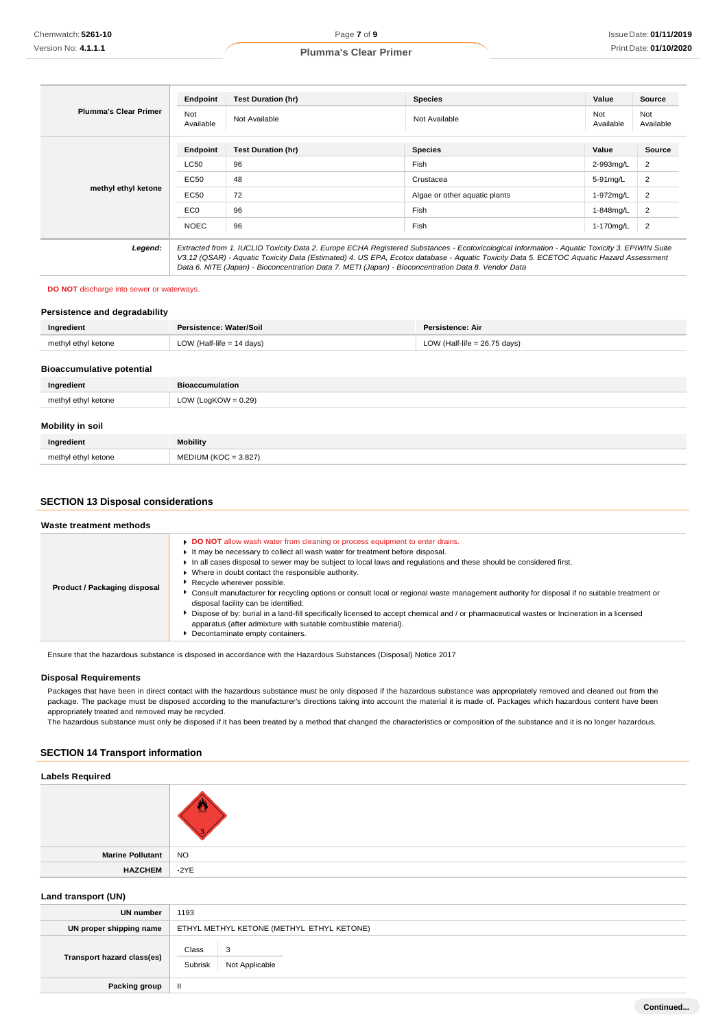| <b>Plumma's Clear Primer</b> | Endpoint         | <b>Test Duration (hr)</b>                                                                                                                                                                                                                                                                                                                                                                       | <b>Species</b>                | Value            | <b>Source</b>    |
|------------------------------|------------------|-------------------------------------------------------------------------------------------------------------------------------------------------------------------------------------------------------------------------------------------------------------------------------------------------------------------------------------------------------------------------------------------------|-------------------------------|------------------|------------------|
|                              | Not<br>Available | Not Available                                                                                                                                                                                                                                                                                                                                                                                   | Not Available                 | Not<br>Available | Not<br>Available |
|                              | Endpoint         | <b>Test Duration (hr)</b>                                                                                                                                                                                                                                                                                                                                                                       | <b>Species</b>                | Value            | Source           |
| methyl ethyl ketone          | <b>LC50</b>      | 96                                                                                                                                                                                                                                                                                                                                                                                              | Fish                          | 2-993mg/L        | $\overline{2}$   |
|                              | EC50             | 48                                                                                                                                                                                                                                                                                                                                                                                              | Crustacea                     | 5-91mg/L         | $\overline{2}$   |
|                              | <b>EC50</b>      | 72                                                                                                                                                                                                                                                                                                                                                                                              | Algae or other aquatic plants | 1-972mg/L        | 2                |
|                              | EC <sub>0</sub>  | 96                                                                                                                                                                                                                                                                                                                                                                                              | Fish                          | 1-848mg/L        | 2                |
|                              | <b>NOEC</b>      | 96                                                                                                                                                                                                                                                                                                                                                                                              | Fish                          | 1-170mg/L        | $\overline{2}$   |
| Legend:                      |                  | Extracted from 1. IUCLID Toxicity Data 2. Europe ECHA Registered Substances - Ecotoxicological Information - Aquatic Toxicity 3. EPIWIN Suite<br>V3.12 (QSAR) - Aquatic Toxicity Data (Estimated) 4. US EPA, Ecotox database - Aquatic Toxicity Data 5. ECETOC Aquatic Hazard Assessment<br>Data 6. NITE (Japan) - Bioconcentration Data 7. METI (Japan) - Bioconcentration Data 8. Vendor Data |                               |                  |                  |

#### **DO NOT** discharge into sewer or waterways.

#### **Persistence and degradability**

| Ingredient          | Persistence: Water/Soil     | Persistence: Air               |
|---------------------|-----------------------------|--------------------------------|
| methyl ethyl ketone | LOW (Half-life $= 14$ days) | LOW (Half-life = $26.75$ days) |
|                     |                             |                                |

#### **Bioaccumulative potential**

| Ingredient          | Bioaccumulation        |
|---------------------|------------------------|
| methyl ethyl ketone | LOW (LogKOW = $0.29$ ) |
|                     |                        |
| Mobility in soil    |                        |

| Inaredient          | <b>Mobility</b>         |
|---------------------|-------------------------|
| methyl ethyl ketone | MEDIUM (KOC = $3.827$ ) |

# **SECTION 13 Disposal considerations**

| Waste treatment methods      |                                                                                                                                                                                                                                                                                                                                                                                                                                                                                                                                                                                                                                                                                                                                                                                                                      |
|------------------------------|----------------------------------------------------------------------------------------------------------------------------------------------------------------------------------------------------------------------------------------------------------------------------------------------------------------------------------------------------------------------------------------------------------------------------------------------------------------------------------------------------------------------------------------------------------------------------------------------------------------------------------------------------------------------------------------------------------------------------------------------------------------------------------------------------------------------|
| Product / Packaging disposal | DO NOT allow wash water from cleaning or process equipment to enter drains.<br>It may be necessary to collect all wash water for treatment before disposal.<br>In all cases disposal to sewer may be subject to local laws and regulations and these should be considered first.<br>▶ Where in doubt contact the responsible authority.<br>Recycle wherever possible.<br>• Consult manufacturer for recycling options or consult local or regional waste management authority for disposal if no suitable treatment or<br>disposal facility can be identified.<br>• Dispose of by: burial in a land-fill specifically licensed to accept chemical and / or pharmaceutical wastes or Incineration in a licensed<br>apparatus (after admixture with suitable combustible material).<br>Decontaminate empty containers. |

Ensure that the hazardous substance is disposed in accordance with the Hazardous Substances (Disposal) Notice 2017

# **Disposal Requirements**

Packages that have been in direct contact with the hazardous substance must be only disposed if the hazardous substance was appropriately removed and cleaned out from the package. The package must be disposed according to the manufacturer's directions taking into account the material it is made of. Packages which hazardous content have been appropriately treated and removed may be recycled.

The hazardous substance must only be disposed if it has been treated by a method that changed the characteristics or composition of the substance and it is no longer hazardous.

# **SECTION 14 Transport information**

#### **Labels Required**

| Marine Pollutant | NO          |
|------------------|-------------|
| <b>HAZCHEM</b>   | $\cdot$ 2YE |

# **Land transport (UN)**

| <b>UN number</b>           | 1193                                      |  |  |
|----------------------------|-------------------------------------------|--|--|
| UN proper shipping name    | ETHYL METHYL KETONE (METHYL ETHYL KETONE) |  |  |
| Transport hazard class(es) | Class<br>3<br>Subrisk<br>Not Applicable   |  |  |
| <b>Packing group</b>       | Ш                                         |  |  |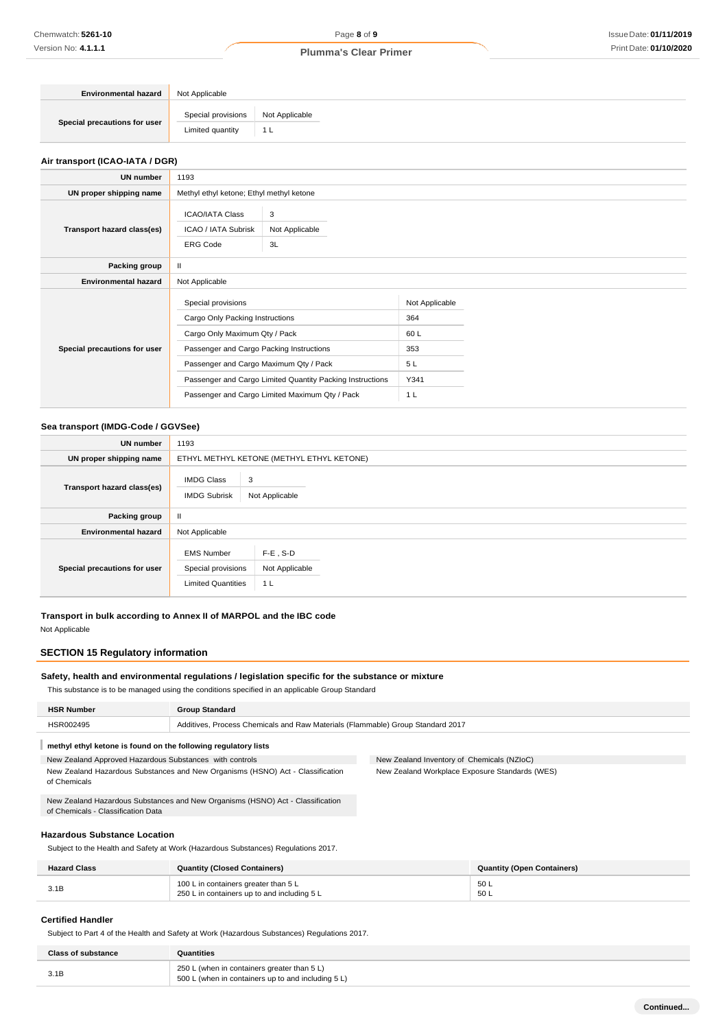| <b>Environmental hazard</b>  | Not Applicable                         |                       |
|------------------------------|----------------------------------------|-----------------------|
| Special precautions for user | Special provisions<br>Limited quantity | Not Applicable<br>1 L |

## **Air transport (ICAO-IATA / DGR)**

| <b>UN number</b>             | 1193                                                                                                                                                                         |                                                                                                             |                                                          |  |
|------------------------------|------------------------------------------------------------------------------------------------------------------------------------------------------------------------------|-------------------------------------------------------------------------------------------------------------|----------------------------------------------------------|--|
| UN proper shipping name      | Methyl ethyl ketone; Ethyl methyl ketone                                                                                                                                     |                                                                                                             |                                                          |  |
| Transport hazard class(es)   | <b>ICAO/IATA Class</b><br>ICAO / IATA Subrisk<br><b>ERG Code</b>                                                                                                             | 3<br>Not Applicable<br>3L                                                                                   |                                                          |  |
| Packing group                | $\mathbf{H}$                                                                                                                                                                 |                                                                                                             |                                                          |  |
| <b>Environmental hazard</b>  | Not Applicable                                                                                                                                                               |                                                                                                             |                                                          |  |
| Special precautions for user | Special provisions<br>Cargo Only Packing Instructions<br>Cargo Only Maximum Qty / Pack<br>Passenger and Cargo Packing Instructions<br>Passenger and Cargo Maximum Qty / Pack | Passenger and Cargo Limited Quantity Packing Instructions<br>Passenger and Cargo Limited Maximum Qty / Pack | Not Applicable<br>364<br>60L<br>353<br>5L<br>Y341<br>1 L |  |

# **Sea transport (IMDG-Code / GGVSee)**

| UN number                    | 1193                                                                 |                                                 |  |  |
|------------------------------|----------------------------------------------------------------------|-------------------------------------------------|--|--|
| UN proper shipping name      |                                                                      | ETHYL METHYL KETONE (METHYL ETHYL KETONE)       |  |  |
| Transport hazard class(es)   | <b>IMDG Class</b><br>3<br><b>IMDG Subrisk</b><br>Not Applicable      |                                                 |  |  |
| Packing group                | $\mathbf{I}$                                                         |                                                 |  |  |
| <b>Environmental hazard</b>  | Not Applicable                                                       |                                                 |  |  |
| Special precautions for user | <b>EMS Number</b><br>Special provisions<br><b>Limited Quantities</b> | $F-E$ , S-D<br>Not Applicable<br>1 <sub>L</sub> |  |  |

**Transport in bulk according to Annex II of MARPOL and the IBC code**

Not Applicable

# **SECTION 15 Regulatory information**

# **Safety, health and environmental regulations / legislation specific for the substance or mixture**

This substance is to be managed using the conditions specified in an applicable Group Standard

|                                                                                                                      | <b>HSR Number</b>                                              | <b>Group Standard</b>                                                          |                                                |
|----------------------------------------------------------------------------------------------------------------------|----------------------------------------------------------------|--------------------------------------------------------------------------------|------------------------------------------------|
| HSR002495                                                                                                            |                                                                | Additives, Process Chemicals and Raw Materials (Flammable) Group Standard 2017 |                                                |
|                                                                                                                      | methyl ethyl ketone is found on the following regulatory lists |                                                                                |                                                |
| New Zealand Approved Hazardous Substances with controls                                                              |                                                                |                                                                                | New Zealand Inventory of Chemicals (NZIoC)     |
| New Zealand Hazardous Substances and New Organisms (HSNO) Act - Classification<br>of Chemicals                       |                                                                |                                                                                | New Zealand Workplace Exposure Standards (WES) |
| New Zealand Hazardous Substances and New Organisms (HSNO) Act - Classification<br>of Chemicals - Classification Data |                                                                |                                                                                |                                                |
|                                                                                                                      |                                                                |                                                                                |                                                |

# **Hazardous Substance Location**

Subject to the Health and Safety at Work (Hazardous Substances) Regulations 2017.

| <b>Hazard Class</b> | <b>Quantity (Closed Containers)</b>                                                 | <b>Quantity (Open Containers)</b> |
|---------------------|-------------------------------------------------------------------------------------|-----------------------------------|
| 3.1B                | 100 L in containers greater than 5 L<br>250 L in containers up to and including 5 L | 50 L<br>50 L                      |

## **Certified Handler**

Subject to Part 4 of the Health and Safety at Work (Hazardous Substances) Regulations 2017.

| <b>Class of substance</b> | Quantities                                                                                        |
|---------------------------|---------------------------------------------------------------------------------------------------|
| 3.1B                      | 250 L (when in containers greater than 5 L)<br>500 L (when in containers up to and including 5 L) |